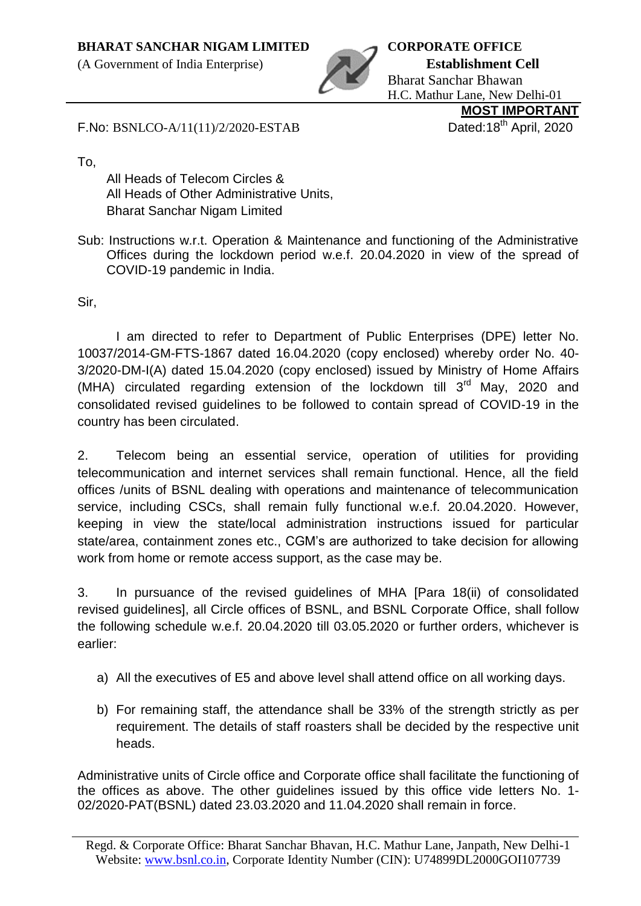(A Government of India Enterprise) **Establishment Cell**



Bharat Sanchar Bhawan H.C. Mathur Lane, New Delhi-01 **MOST IMPORTANT**

F.No: BSNLCO-A/11(11)/2/2020-ESTAB Dated:18<sup>th</sup> April, 2020

To,

All Heads of Telecom Circles & All Heads of Other Administrative Units, Bharat Sanchar Nigam Limited

Sub: Instructions w.r.t. Operation & Maintenance and functioning of the Administrative Offices during the lockdown period w.e.f. 20.04.2020 in view of the spread of COVID-19 pandemic in India.

Sir,

I am directed to refer to Department of Public Enterprises (DPE) letter No. 10037/2014-GM-FTS-1867 dated 16.04.2020 (copy enclosed) whereby order No. 40- 3/2020-DM-I(A) dated 15.04.2020 (copy enclosed) issued by Ministry of Home Affairs (MHA) circulated regarding extension of the lockdown till  $3<sup>rd</sup>$  May, 2020 and consolidated revised guidelines to be followed to contain spread of COVID-19 in the country has been circulated.

2. Telecom being an essential service, operation of utilities for providing telecommunication and internet services shall remain functional. Hence, all the field offices /units of BSNL dealing with operations and maintenance of telecommunication service, including CSCs, shall remain fully functional w.e.f. 20.04.2020. However, keeping in view the state/local administration instructions issued for particular state/area, containment zones etc., CGM's are authorized to take decision for allowing work from home or remote access support, as the case may be.

3. In pursuance of the revised guidelines of MHA [Para 18(ii) of consolidated revised guidelines], all Circle offices of BSNL, and BSNL Corporate Office, shall follow the following schedule w.e.f. 20.04.2020 till 03.05.2020 or further orders, whichever is earlier:

- a) All the executives of E5 and above level shall attend office on all working days.
- b) For remaining staff, the attendance shall be 33% of the strength strictly as per requirement. The details of staff roasters shall be decided by the respective unit heads.

Administrative units of Circle office and Corporate office shall facilitate the functioning of the offices as above. The other guidelines issued by this office vide letters No. 1- 02/2020-PAT(BSNL) dated 23.03.2020 and 11.04.2020 shall remain in force.

Regd. & Corporate Office: Bharat Sanchar Bhavan, H.C. Mathur Lane, Janpath, New Delhi-1 Website: www.bsnl.co.in, Corporate Identity Number (CIN): U74899DL2000GOI107739